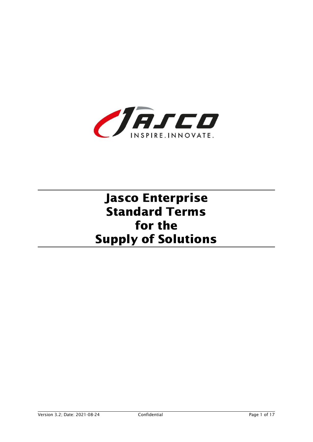

# Jasco Enterprise Standard Terms for the Supply of Solutions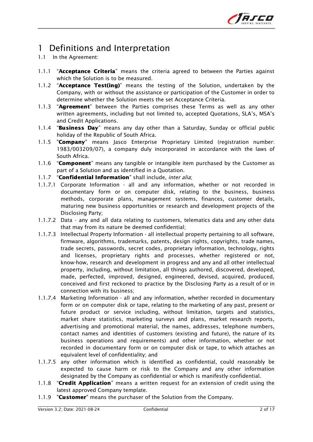

## 1 Definitions and Interpretation

- 1.1 In the Agreement:
- 1.1.1 "Acceptance Criteria" means the criteria agreed to between the Parties against which the Solution is to be measured.
- 1.1.2 "Acceptance Test(ing)" means the testing of the Solution, undertaken by the Company, with or without the assistance or participation of the Customer in order to determine whether the Solution meets the set Acceptance Criteria.
- 1.1.3 "Agreement" between the Parties comprises these Terms as well as any other written agreements, including but not limited to, accepted Quotations, SLA's, MSA's and Credit Applications.
- 1.1.4 "Business Day" means any day other than a Saturday, Sunday or official public holiday of the Republic of South Africa.
- 1.1.5 "Company" means Jasco Enterprise Proprietary Limited (registration number: 1983/003209/07), a company duly incorporated in accordance with the laws of South Africa.
- 1.1.6 "Component" means any tangible or intangible item purchased by the Customer as part of a Solution and as identified in a Quotation.
- 1.1.7 "Confidential Information" shall include, inter alia;
- 1.1.7.1 Corporate Information all and any information, whether or not recorded in documentary form or on computer disk, relating to the business, business methods, corporate plans, management systems, finances, customer details, maturing new business opportunities or research and development projects of the Disclosing Party;
- 1.1.7.2 Data any and all data relating to customers, telematics data and any other data that may from its nature be deemed confidential;
- 1.1.7.3 Intellectual Property Information all intellectual property pertaining to all software, firmware, algorithms, trademarks, patents, design rights, copyrights, trade names, trade secrets, passwords, secret codes, proprietary information, technology, rights and licenses, proprietary rights and processes, whether registered or not, know-how, research and development in progress and any and all other intellectual property, including, without limitation, all things authored, discovered, developed, made, perfected, improved, designed, engineered, devised, acquired, produced, conceived and first reckoned to practice by the Disclosing Party as a result of or in connection with its business;
- 1.1.7.4 Marketing Information all and any information, whether recorded in documentary form or on computer disk or tape, relating to the marketing of any past, present or future product or service including, without limitation, targets and statistics, market share statistics, marketing surveys and plans, market research reports, advertising and promotional material, the names, addresses, telephone numbers, contact names and identities of customers (existing and future), the nature of its business operations and requirements) and other information, whether or not recorded in documentary form or on computer disk or tape, to which attaches an equivalent level of confidentiality; and
- 1.1.7.5 any other information which is identified as confidential, could reasonably be expected to cause harm or risk to the Company and any other information designated by the Company as confidential or which is manifestly confidential.
- 1.1.8 "Credit Application" means a written request for an extension of credit using the latest approved Company template.
- 1.1.9 "**Customer**" means the purchaser of the Solution from the Company.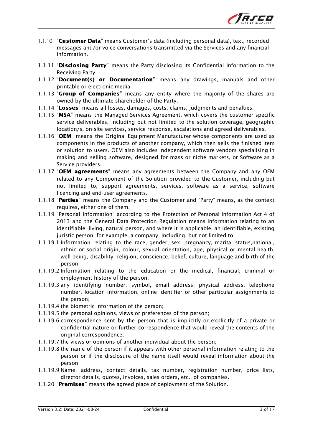

- 1.1.10 "Customer Data" means Customer's data (including personal data), text, recorded messages and/or voice conversations transmitted via the Services and any financial information.
- 1.1.11 "Disclosing Party" means the Party disclosing its Confidential Information to the Receiving Party.
- 1.1.12 "Document(s) or Documentation" means any drawings, manuals and other printable or electronic media.
- 1.1.13 "Group of Companies" means any entity where the majority of the shares are owned by the ultimate shareholder of the Party.
- 1.1.14 "Losses" means all losses, damages, costs, claims, judgments and penalties.
- 1.1.15 "MSA" means the Managed Services Agreement, which covers the customer specific service deliverables, including but not limited to the solution coverage, geographic location/s, on-site services, service response, escalations and agreed deliverables.
- 1.1.16 "OEM" means the Original Equipment Manufacturer whose components are used as components in the products of another company, which then sells the finished item or solution to users. OEM also includes independent software vendors specialising in making and selling software, designed for mass or niche markets, or Software as a Service providers.
- 1.1.17 "OEM agreements" means any agreements between the Company and any OEM related to any Component of the Solution provided to the Customer, including but not limited to, support agreements, services, software as a service, software licencing and end-user agreements.
- 1.1.18 "Parties" means the Company and the Customer and "Party" means, as the context requires, either one of them.
- 1.1.19 "Personal Information" according to the Protection of Personal Information Act 4 of 2013 and the General Data Protection Regulation means information relating to an identifiable, living, natural person, and where it is applicable, an identifiable, existing juristic person, for example, a company, including, but not limited to:
- 1.1.19.1 Information relating to the race, gender, sex, pregnancy, marital status,national, ethnic or social origin, colour, sexual orientation, age, physical or mental health, well-being, disability, religion, conscience, belief, culture, language and birth of the person;
- 1.1.19.2 Information relating to the education or the medical, financial, criminal or employment history of the person;
- 1.1.19.3 any identifying number, symbol, email address, physical address, telephone number, location information, online identifier or other particular assignments to the person;
- 1.1.19.4 the biometric information of the person;
- 1.1.19.5 the personal opinions, views or preferences of the person;
- 1.1.19.6 correspondence sent by the person that is implicitly or explicitly of a private or confidential nature or further correspondence that would reveal the contents of the original correspondence;
- 1.1.19.7 the views or opinions of another individual about the person;
- 1.1.19.8 the name of the person if it appears with other personal information relating to the person or if the disclosure of the name itself would reveal information about the person;
- 1.1.19.9 Name, address, contact details, tax number, registration number, price lists, director details, quotes, invoices, sales orders, etc., of companies.
- 1.1.20 "**Premises**" means the agreed place of deployment of the Solution.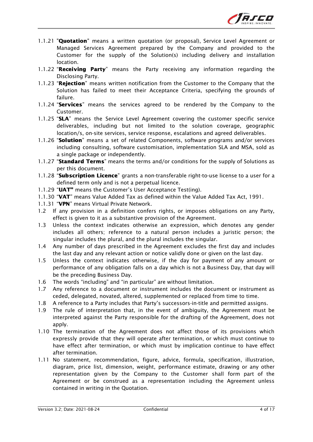

- 1.1.21 "**Quotation**" means a written quotation (or proposal), Service Level Agreement or Managed Services Agreement prepared by the Company and provided to the Customer for the supply of the Solution(s) including delivery and installation location.
- 1.1.22 "Receiving Party" means the Party receiving any information regarding the Disclosing Party.
- 1.1.23 "Rejection" means written notification from the Customer to the Company that the Solution has failed to meet their Acceptance Criteria, specifying the grounds of failure.
- 1.1.24 "Services" means the services agreed to be rendered by the Company to the Customer.
- 1.1.25 "SLA" means the Service Level Agreement covering the customer specific service deliverables, including but not limited to the solution coverage, geographic location/s, on-site services, service response, escalations and agreed deliverables.
- 1.1.26 "Solution" means a set of related Components, software programs and/or services including consulting, software customisation, implementation SLA and MSA, sold as a single package or independently.
- 1.1.27 "Standard Terms" means the terms and/or conditions for the supply of Solutions as per this document.
- 1.1.28 "Subscription Licence" grants a non-transferable right-to-use license to a user for a defined term only and is not a perpetual licence.
- 1.1.29 "UAT" means the Customer's User Acceptance Test(ing).
- 1.1.30 "VAT" means Value Added Tax as defined within the Value Added Tax Act, 1991.
- 1.1.31 "VPN" means Virtual Private Network.
- 1.2 If any provision in a definition confers rights, or imposes obligations on any Party, effect is given to it as a substantive provision of the Agreement.
- 1.3 Unless the context indicates otherwise an expression, which denotes any gender includes all others; reference to a natural person includes a juristic person; the singular includes the plural, and the plural includes the singular.
- 1.4 Any number of days prescribed in the Agreement excludes the first day and includes the last day and any relevant action or notice validly done or given on the last day.
- 1.5 Unless the context indicates otherwise, if the day for payment of any amount or performance of any obligation falls on a day which is not a Business Day, that day will be the preceding Business Day.
- 1.6 The words "including" and "in particular" are without limitation.
- 1.7 Any reference to a document or instrument includes the document or instrument as ceded, delegated, novated, altered, supplemented or replaced from time to time.
- 1.8 A reference to a Party includes that Party's successors-in-title and permitted assigns.
- 1.9 The rule of interpretation that, in the event of ambiguity, the Agreement must be interpreted against the Party responsible for the drafting of the Agreement, does not apply.
- 1.10 The termination of the Agreement does not affect those of its provisions which expressly provide that they will operate after termination, or which must continue to have effect after termination, or which must by implication continue to have effect after termination.
- 1.11 No statement, recommendation, figure, advice, formula, specification, illustration, diagram, price list, dimension, weight, performance estimate, drawing or any other representation given by the Company to the Customer shall form part of the Agreement or be construed as a representation including the Agreement unless contained in writing in the Quotation.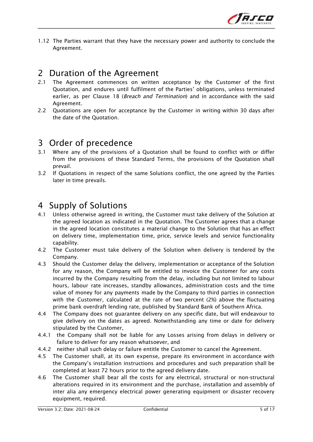

1.12 The Parties warrant that they have the necessary power and authority to conclude the Agreement.

#### 2 Duration of the Agreement

- 2.1 The Agreement commences on written acceptance by the Customer of the first Quotation, and endures until fulfilment of the Parties' obligations, unless terminated earlier, as per Clause 18 (*Breach and Termination*) and in accordance with the said Agreement.
- 2.2 Quotations are open for acceptance by the Customer in writing within 30 days after the date of the Quotation.

## 3 Order of precedence

- 3.1 Where any of the provisions of a Quotation shall be found to conflict with or differ from the provisions of these Standard Terms, the provisions of the Quotation shall prevail.
- 3.2 If Quotations in respect of the same Solutions conflict, the one agreed by the Parties later in time prevails.

#### 4 Supply of Solutions

- 4.1 Unless otherwise agreed in writing, the Customer must take delivery of the Solution at the agreed location as indicated in the Quotation. The Customer agrees that a change in the agreed location constitutes a material change to the Solution that has an effect on delivery time, implementation time, price, service levels and service functionality capability.
- 4.2 The Customer must take delivery of the Solution when delivery is tendered by the Company.
- 4.3 Should the Customer delay the delivery, implementation or acceptance of the Solution for any reason, the Company will be entitled to invoice the Customer for any costs incurred by the Company resulting from the delay, including but not limited to labour hours, labour rate increases, standby allowances, administration costs and the time value of money for any payments made by the Company to third parties in connection with the Customer, calculated at the rate of two percent (2%) above the fluctuating prime bank overdraft lending rate, published by Standard Bank of Southern Africa.
- 4.4 The Company does not guarantee delivery on any specific date, but will endeavour to give delivery on the dates as agreed. Notwithstanding any time or date for delivery stipulated by the Customer,
- 4.4.1 the Company shall not be liable for any Losses arising from delays in delivery or failure to deliver for any reason whatsoever, and
- 4.4.2 neither shall such delay or failure entitle the Customer to cancel the Agreement.
- 4.5 The Customer shall, at its own expense, prepare its environment in accordance with the Company's installation instructions and procedures and such preparation shall be completed at least 72 hours prior to the agreed delivery date.
- 4.6 The Customer shall bear all the costs for any electrical, structural or non-structural alterations required in its environment and the purchase, installation and assembly of inter alia any emergency electrical power generating equipment or disaster recovery equipment, required.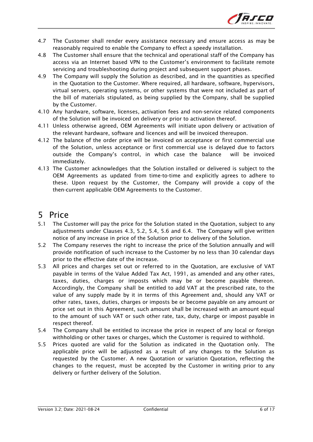

- 4.7 The Customer shall render every assistance necessary and ensure access as may be reasonably required to enable the Company to effect a speedy installation.
- 4.8 The Customer shall ensure that the technical and operational staff of the Company has access via an Internet based VPN to the Customer's environment to facilitate remote servicing and troubleshooting during project and subsequent support phases.
- 4.9 The Company will supply the Solution as described, and in the quantities as specified in the Quotation to the Customer. Where required, all hardware, software, hypervisors, virtual servers, operating systems, or other systems that were not included as part of the bill of materials stipulated, as being supplied by the Company, shall be supplied by the Customer.
- 4.10 Any hardware, software, licenses, activation fees and non-service related components of the Solution will be invoiced on delivery or prior to activation thereof.
- 4.11 Unless otherwise agreed, OEM Agreements will initiate upon delivery or activation of the relevant hardware, software and licences and will be invoiced thereupon.
- 4.12 The balance of the order price will be invoiced on acceptance or first commercial use of the Solution, unless acceptance or first commercial use is delayed due to factors outside the Company's control, in which case the balance will be invoiced immediately.
- 4.13 The Customer acknowledges that the Solution installed or delivered is subject to the OEM Agreements as updated from time-to-time and explicitly agrees to adhere to these. Upon request by the Customer, the Company will provide a copy of the then-current applicable OEM Agreements to the Customer.

#### 5 Price

- 5.1 The Customer will pay the price for the Solution stated in the Quotation, subject to any adjustments under Clauses 4.3, 5.2, 5.4, 5.6 and 6.4. The Company will give written notice of any increase in price of the Solution prior to delivery of the Solution.
- 5.2 The Company reserves the right to increase the price of the Solution annually and will provide notification of such increase to the Customer by no less than 30 calendar days prior to the effective date of the increase.
- 5.3 All prices and charges set out or referred to in the Quotation, are exclusive of VAT payable in terms of the Value Added Tax Act, 1991, as amended and any other rates, taxes, duties, charges or imposts which may be or become payable thereon. Accordingly, the Company shall be entitled to add VAT at the prescribed rate, to the value of any supply made by it in terms of this Agreement and, should any VAT or other rates, taxes, duties, charges or imposts be or become payable on any amount or price set out in this Agreement, such amount shall be increased with an amount equal to the amount of such VAT or such other rate, tax, duty, charge or impost payable in respect thereof.
- 5.4 The Company shall be entitled to increase the price in respect of any local or foreign withholding or other taxes or charges, which the Customer is required to withhold.
- 5.5 Prices quoted are valid for the Solution as indicated in the Quotation only. The applicable price will be adjusted as a result of any changes to the Solution as requested by the Customer. A new Quotation or variation Quotation, reflecting the changes to the request, must be accepted by the Customer in writing prior to any delivery or further delivery of the Solution.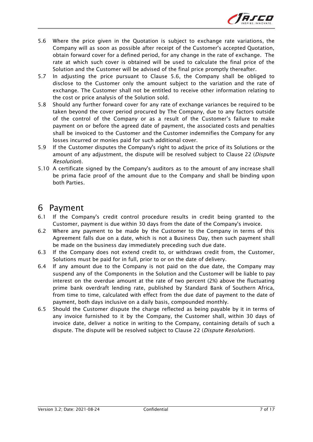

- 5.6 Where the price given in the Quotation is subject to exchange rate variations, the Company will as soon as possible after receipt of the Customer's accepted Quotation, obtain forward cover for a defined period, for any change in the rate of exchange. The rate at which such cover is obtained will be used to calculate the final price of the Solution and the Customer will be advised of the final price promptly thereafter.
- 5.7 In adjusting the price pursuant to Clause 5.6, the Company shall be obliged to disclose to the Customer only the amount subject to the variation and the rate of exchange. The Customer shall not be entitled to receive other information relating to the cost or price analysis of the Solution sold.
- 5.8 Should any further forward cover for any rate of exchange variances be required to be taken beyond the cover period procured by The Company, due to any factors outside of the control of the Company or as a result of the Customer's failure to make payment on or before the agreed date of payment, the associated costs and penalties shall be invoiced to the Customer and the Customer indemnifies the Company for any losses incurred or monies paid for such additional cover.
- 5.9 If the Customer disputes the Company's right to adjust the price of its Solutions or the amount of any adjustment, the dispute will be resolved subject to Clause 22 (Dispute Resolution).
- 5.10 A certificate signed by the Company's auditors as to the amount of any increase shall be prima facie proof of the amount due to the Company and shall be binding upon both Parties.

#### 6 Payment

- 6.1 If the Company's credit control procedure results in credit being granted to the Customer, payment is due within 30 days from the date of the Company's invoice.
- 6.2 Where any payment to be made by the Customer to the Company in terms of this Agreement falls due on a date, which is not a Business Day, then such payment shall be made on the business day immediately preceding such due date.
- 6.3 If the Company does not extend credit to, or withdraws credit from, the Customer, Solutions must be paid for in full, prior to or on the date of delivery.
- 6.4 If any amount due to the Company is not paid on the due date, the Company may suspend any of the Components in the Solution and the Customer will be liable to pay interest on the overdue amount at the rate of two percent (2%) above the fluctuating prime bank overdraft lending rate, published by Standard Bank of Southern Africa, from time to time, calculated with effect from the due date of payment to the date of payment, both days inclusive on a daily basis, compounded monthly.
- 6.5 Should the Customer dispute the charge reflected as being payable by it in terms of any invoice furnished to it by the Company, the Customer shall, within 30 days of invoice date, deliver a notice in writing to the Company, containing details of such a dispute. The dispute will be resolved subject to Clause 22 (Dispute Resolution).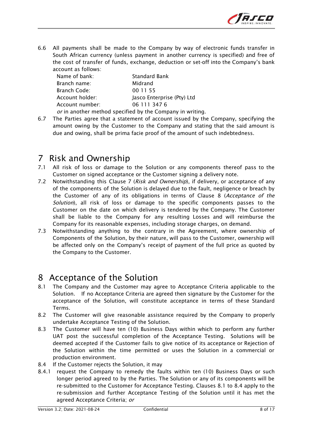

6.6 All payments shall be made to the Company by way of electronic funds transfer in South African currency (unless payment in another currency is specified) and free of the cost of transfer of funds, exchange, deduction or set-off into the Company's bank account as follows:

| Name of bank:   | <b>Standard Bank</b>       |
|-----------------|----------------------------|
| Branch name:    | Midrand                    |
| Branch Code:    | 00 11 55                   |
| Account holder: | Jasco Enterprise (Pty) Ltd |
| Account number: | 06 111 347 6               |
|                 |                            |

or in another method specified by the Company in writing.

6.7 The Parties agree that a statement of account issued by the Company, specifying the amount owing by the Customer to the Company and stating that the said amount is due and owing, shall be prima facie proof of the amount of such indebtedness.

#### 7 Risk and Ownership

- 7.1 All risk of loss or damage to the Solution or any components thereof pass to the Customer on signed acceptance or the Customer signing a delivery note.
- 7.2 Notwithstanding this Clause 7 (Risk and Ownership), if delivery, or acceptance of any of the components of the Solution is delayed due to the fault, negligence or breach by the Customer of any of its obligations in terms of Clause 8 (Acceptance of the Solution), all risk of loss or damage to the specific components passes to the Customer on the date on which delivery is tendered by the Company. The Customer shall be liable to the Company for any resulting Losses and will reimburse the Company for its reasonable expenses, including storage charges, on demand.
- 7.3 Notwithstanding anything to the contrary in the Agreement, where ownership of Components of the Solution, by their nature, will pass to the Customer, ownership will be affected only on the Company's receipt of payment of the full price as quoted by the Company to the Customer.

#### 8 Acceptance of the Solution

- 8.1 The Company and the Customer may agree to Acceptance Criteria applicable to the Solution. If no Acceptance Criteria are agreed then signature by the Customer for the acceptance of the Solution, will constitute acceptance in terms of these Standard Terms.
- 8.2 The Customer will give reasonable assistance required by the Company to properly undertake Acceptance Testing of the Solution.
- 8.3 The Customer will have ten (10) Business Days within which to perform any further UAT post the successful completion of the Acceptance Testing. Solutions will be deemed accepted if the Customer fails to give notice of its acceptance or Rejection of the Solution within the time permitted or uses the Solution in a commercial or production environment.
- 8.4 If the Customer rejects the Solution, it may
- 8.4.1 request the Company to remedy the faults within ten (10) Business Days or such longer period agreed to by the Parties. The Solution or any of its components will be re-submitted to the Customer for Acceptance Testing. Clauses 8.1 to 8.4 apply to the re-submission and further Acceptance Testing of the Solution until it has met the agreed Acceptance Criteria; or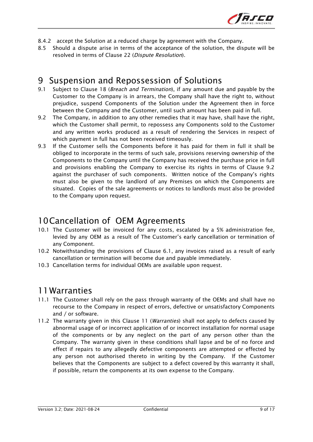

- 8.4.2 accept the Solution at a reduced charge by agreement with the Company.
- 8.5 Should a dispute arise in terms of the acceptance of the solution, the dispute will be resolved in terms of Clause 22 (Dispute Resolution).

#### 9 Suspension and Repossession of Solutions

- 9.1 Subject to Clause 18 (*Breach and Termination*), if any amount due and payable by the Customer to the Company is in arrears, the Company shall have the right to, without prejudice, suspend Components of the Solution under the Agreement then in force between the Company and the Customer, until such amount has been paid in full.
- 9.2 The Company, in addition to any other remedies that it may have, shall have the right, which the Customer shall permit, to repossess any Components sold to the Customer and any written works produced as a result of rendering the Services in respect of which payment in full has not been received timeously.
- 9.3 If the Customer sells the Components before it has paid for them in full it shall be obliged to incorporate in the terms of such sale, provisions reserving ownership of the Components to the Company until the Company has received the purchase price in full and provisions enabling the Company to exercise its rights in terms of Clause 9.2 against the purchaser of such components. Written notice of the Company's rights must also be given to the landlord of any Premises on which the Components are situated. Copies of the sale agreements or notices to landlords must also be provided to the Company upon request.

#### 10Cancellation of OEM Agreements

- 10.1 The Customer will be invoiced for any costs, escalated by a 5% administration fee, levied by any OEM as a result of The Customer's early cancellation or termination of any Component.
- 10.2 Notwithstanding the provisions of Clause 6.1, any invoices raised as a result of early cancellation or termination will become due and payable immediately.
- 10.3 Cancellation terms for individual OEMs are available upon request.

#### 11Warranties

- 11.1 The Customer shall rely on the pass through warranty of the OEMs and shall have no recourse to the Company in respect of errors, defective or unsatisfactory Components and / or software.
- 11.2 The warranty given in this Clause 11 (*Warranties*) shall not apply to defects caused by abnormal usage of or incorrect application of or incorrect installation for normal usage of the components or by any neglect on the part of any person other than the Company. The warranty given in these conditions shall lapse and be of no force and effect if repairs to any allegedly defective components are attempted or effected by any person not authorised thereto in writing by the Company. If the Customer believes that the Components are subject to a defect covered by this warranty it shall, if possible, return the components at its own expense to the Company.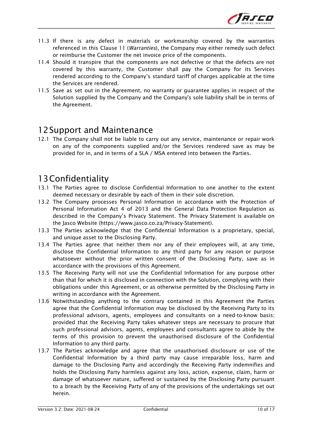

- 11.3 If there is any defect in materials or workmanship covered by the warranties referenced in this Clause 11 (Warranties), the Company may either remedy such defect or reimburse the Customer the net invoice price of the components.
- 11.4 Should it transpire that the components are not defective or that the defects are not covered by this warranty, the Customer shall pay the Company for its Services rendered according to the Company's standard tariff of charges applicable at the time the Services are rendered.
- 11.5 Save as set out in the Agreement, no warranty or guarantee applies in respect of the Solution supplied by the Company and the Company's sole liability shall be in terms of the Agreement.

#### 12Support and Maintenance

12.1 The Company shall not be liable to carry out any service, maintenance or repair work on any of the components supplied and/or the Services rendered save as may be provided for in, and in terms of a SLA / MSA entered into between the Parties.

## 13Confidentiality

- 13.1 The Parties agree to disclose Confidential Information to one another to the extent deemed necessary or desirable by each of them in their sole discretion.
- 13.2 The Company processes Personal Information in accordance with the Protection of Personal Information Act 4 of 2013 and the General Data Protection Regulation as described in the Company's Privacy Statement. The Privacy Statement is available on the Jasco Website (https://www.jasco.co.za/Privacy-Statement).
- 13.3 The Parties acknowledge that the Confidential Information is a proprietary, special, and unique asset to the Disclosing Party.
- 13.4 The Parties agree that neither them nor any of their employees will, at any time, disclose the Confidential Information to any third party for any reason or purpose whatsoever without the prior written consent of the Disclosing Party, save as in accordance with the provisions of this Agreement.
- 13.5 The Receiving Party will not use the Confidential Information for any purpose other than that for which it is disclosed in connection with the Solution, complying with their obligations under this Agreement, or as otherwise permitted by the Disclosing Party in writing in accordance with the Agreement.
- 13.6 Notwithstanding anything to the contrary contained in this Agreement the Parties agree that the Confidential Information may be disclosed by the Receiving Party to its professional advisors, agents, employees and consultants on a need-to-know basis; provided that the Receiving Party takes whatever steps are necessary to procure that such professional advisors, agents, employees and consultants agree to abide by the terms of this provision to prevent the unauthorised disclosure of the Confidential Information to any third party.
- 13.7 The Parties acknowledge and agree that the unauthorised disclosure or use of the Confidential Information by a third party may cause irreparable loss, harm and damage to the Disclosing Party and accordingly the Receiving Party indemnifies and holds the Disclosing Party harmless against any loss, action, expense, claim, harm or damage of whatsoever nature, suffered or sustained by the Disclosing Party pursuant to a breach by the Receiving Party of any of the provisions of the undertakings set out herein.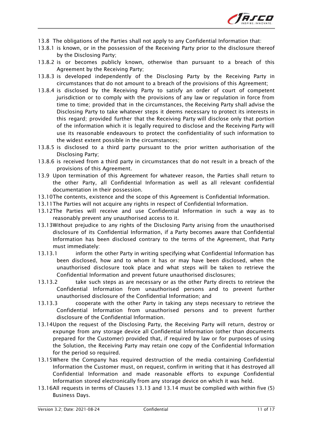

- 13.8 The obligations of the Parties shall not apply to any Confidential Information that:
- 13.8.1 is known, or in the possession of the Receiving Party prior to the disclosure thereof by the Disclosing Party;
- 13.8.2 is or becomes publicly known, otherwise than pursuant to a breach of this Agreement by the Receiving Party;
- 13.8.3 is developed independently of the Disclosing Party by the Receiving Party in circumstances that do not amount to a breach of the provisions of this Agreement;
- 13.8.4 is disclosed by the Receiving Party to satisfy an order of court of competent jurisdiction or to comply with the provisions of any law or regulation in force from time to time; provided that in the circumstances, the Receiving Party shall advise the Disclosing Party to take whatever steps it deems necessary to protect its interests in this regard; provided further that the Receiving Party will disclose only that portion of the information which it is legally required to disclose and the Receiving Party will use its reasonable endeavours to protect the confidentiality of such information to the widest extent possible in the circumstances;
- 13.8.5 is disclosed to a third party pursuant to the prior written authorisation of the Disclosing Party;
- 13.8.6 is received from a third party in circumstances that do not result in a breach of the provisions of this Agreement.
- 13.9 Upon termination of this Agreement for whatever reason, the Parties shall return to the other Party, all Confidential Information as well as all relevant confidential documentation in their possession.
- 13.10The contents, existence and the scope of this Agreement is Confidential Information.
- 13.11The Parties will not acquire any rights in respect of Confidential Information.
- 13.12The Parties will receive and use Confidential Information in such a way as to reasonably prevent any unauthorised access to it.
- 13.13Without prejudice to any rights of the Disclosing Party arising from the unauthorised disclosure of its Confidential Information, if a Party becomes aware that Confidential Information has been disclosed contrary to the terms of the Agreement, that Party must immediately:
- 13.13.1 inform the other Party in writing specifying what Confidential Information has been disclosed, how and to whom it has or may have been disclosed, when the unauthorised disclosure took place and what steps will be taken to retrieve the Confidential Information and prevent future unauthorised disclosures;
- 13.13.2 take such steps as are necessary or as the other Party directs to retrieve the Confidential Information from unauthorised persons and to prevent further unauthorised disclosure of the Confidential Information; and
- 13.13.3 cooperate with the other Party in taking any steps necessary to retrieve the Confidential Information from unauthorised persons and to prevent further disclosure of the Confidential Information.
- 13.14Upon the request of the Disclosing Party, the Receiving Party will return, destroy or expunge from any storage device all Confidential Information (other than documents prepared for the Customer) provided that, if required by law or for purposes of using the Solution, the Receiving Party may retain one copy of the Confidential Information for the period so required.
- 13.15Where the Company has required destruction of the media containing Confidential Information the Customer must, on request, confirm in writing that it has destroyed all Confidential Information and made reasonable efforts to expunge Confidential Information stored electronically from any storage device on which it was held.
- 13.16All requests in terms of Clauses 13.13 and 13.14 must be complied with within five (5) Business Days.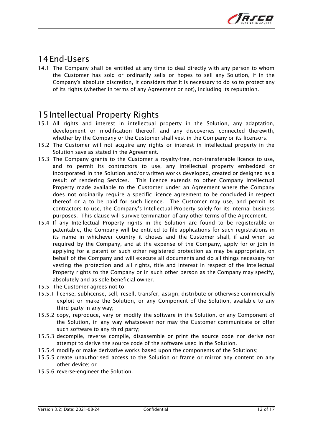

## 14End-Users

14.1 The Company shall be entitled at any time to deal directly with any person to whom the Customer has sold or ordinarily sells or hopes to sell any Solution, if in the Company's absolute discretion, it considers that it is necessary to do so to protect any of its rights (whether in terms of any Agreement or not), including its reputation.

## 15Intellectual Property Rights

- 15.1 All rights and interest in intellectual property in the Solution, any adaptation, development or modification thereof, and any discoveries connected therewith, whether by the Company or the Customer shall vest in the Company or its licensors.
- 15.2 The Customer will not acquire any rights or interest in intellectual property in the Solution save as stated in the Agreement.
- 15.3 The Company grants to the Customer a royalty-free, non-transferable licence to use, and to permit its contractors to use, any intellectual property embedded or incorporated in the Solution and/or written works developed, created or designed as a result of rendering Services. This licence extends to other Company Intellectual Property made available to the Customer under an Agreement where the Company does not ordinarily require a specific licence agreement to be concluded in respect thereof or a to be paid for such licence. The Customer may use, and permit its contractors to use, the Company's Intellectual Property solely for its internal business purposes. This clause will survive termination of any other terms of the Agreement.
- 15.4 If any Intellectual Property rights in the Solution are found to be registerable or patentable, the Company will be entitled to file applications for such registrations in its name in whichever country it choses and the Customer shall, if and when so required by the Company, and at the expense of the Company, apply for or join in applying for a patent or such other registered protection as may be appropriate, on behalf of the Company and will execute all documents and do all things necessary for vesting the protection and all rights, title and interest in respect of the Intellectual Property rights to the Company or in such other person as the Company may specify, absolutely and as sole beneficial owner.
- 15.5 The Customer agrees not to:
- 15.5.1 license, sublicense, sell, resell, transfer, assign, distribute or otherwise commercially exploit or make the Solution, or any Component of the Solution, available to any third party in any way;
- 15.5.2 copy, reproduce, vary or modify the software in the Solution, or any Component of the Solution, in any way whatsoever nor may the Customer communicate or offer such software to any third party;
- 15.5.3 decompile, reverse compile, disassemble or print the source code nor derive nor attempt to derive the source code of the software used in the Solution.
- 15.5.4 modify or make derivative works based upon the components of the Solutions;
- 15.5.5 create unauthorised access to the Solution or frame or mirror any content on any other device; or
- 15.5.6 reverse-engineer the Solution.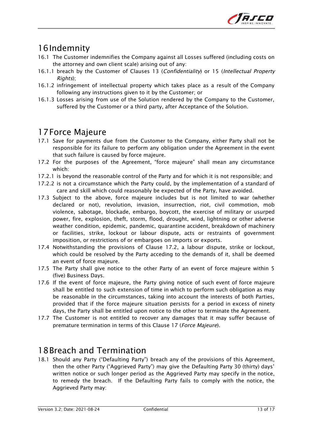

# 16Indemnity

- 16.1 The Customer indemnifies the Company against all Losses suffered (including costs on the attorney and own client scale) arising out of any:
- 16.1.1 breach by the Customer of Clauses 13 (Confidentiality) or 15 (Intellectual Property Rights);
- 16.1.2 infringement of intellectual property which takes place as a result of the Company following any instructions given to it by the Customer; or
- 16.1.3 Losses arising from use of the Solution rendered by the Company to the Customer, suffered by the Customer or a third party, after Acceptance of the Solution.

## 17Force Majeure

- 17.1 Save for payments due from the Customer to the Company, either Party shall not be responsible for its failure to perform any obligation under the Agreement in the event that such failure is caused by force majeure.
- 17.2 For the purposes of the Agreement, "force majeure" shall mean any circumstance which:
- 17.2.1 is beyond the reasonable control of the Party and for which it is not responsible; and
- 17.2.2 is not a circumstance which the Party could, by the implementation of a standard of care and skill which could reasonably be expected of the Party, have avoided.
- 17.3 Subject to the above, force majeure includes but is not limited to war (whether declared or not), revolution, invasion, insurrection, riot, civil commotion, mob violence, sabotage, blockade, embargo, boycott, the exercise of military or usurped power, fire, explosion, theft, storm, flood, drought, wind, lightning or other adverse weather condition, epidemic, pandemic, quarantine accident, breakdown of machinery or facilities, strike, lockout or labour dispute, acts or restraints of government imposition, or restrictions of or embargoes on imports or exports.
- 17.4 Notwithstanding the provisions of Clause 17.2, a labour dispute, strike or lockout, which could be resolved by the Party acceding to the demands of it, shall be deemed an event of force majeure.
- 17.5 The Party shall give notice to the other Party of an event of force majeure within 5 (five) Business Days.
- 17.6 If the event of force majeure, the Party giving notice of such event of force majeure shall be entitled to such extension of time in which to perform such obligation as may be reasonable in the circumstances, taking into account the interests of both Parties, provided that if the force majeure situation persists for a period in excess of ninety days, the Party shall be entitled upon notice to the other to terminate the Agreement.
- 17.7 The Customer is not entitled to recover any damages that it may suffer because of premature termination in terms of this Clause 17 (Force Majeure).

## 18Breach and Termination

18.1 Should any Party ("Defaulting Party") breach any of the provisions of this Agreement, then the other Party ("Aggrieved Party") may give the Defaulting Party 30 (thirty) days' written notice or such longer period as the Aggrieved Party may specify in the notice, to remedy the breach. If the Defaulting Party fails to comply with the notice, the Aggrieved Party may: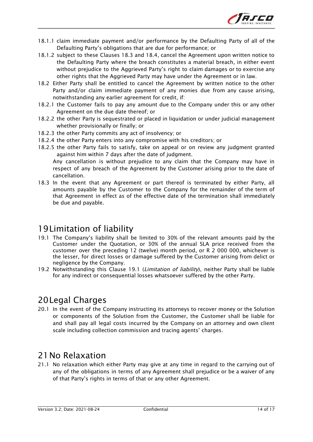

- 18.1.1 claim immediate payment and/or performance by the Defaulting Party of all of the Defaulting Party's obligations that are due for performance; or
- 18.1.2 subject to these Clauses 18.3 and 18.4, cancel the Agreement upon written notice to the Defaulting Party where the breach constitutes a material breach, in either event without prejudice to the Aggrieved Party's right to claim damages or to exercise any other rights that the Aggrieved Party may have under the Agreement or in law.
- 18.2 Either Party shall be entitled to cancel the Agreement by written notice to the other Party and/or claim immediate payment of any monies due from any cause arising, notwithstanding any earlier agreement for credit, if:
- 18.2.1 the Customer fails to pay any amount due to the Company under this or any other Agreement on the due date thereof; or
- 18.2.2 the other Party is sequestrated or placed in liquidation or under judicial management whether provisionally or finally; or
- 18.2.3 the other Party commits any act of insolvency; or
- 18.2.4 the other Party enters into any compromise with his creditors; or
- 18.2.5 the other Party fails to satisfy, take on appeal or on review any judgment granted against him within 7 days after the date of judgment.

Any cancellation is without prejudice to any claim that the Company may have in respect of any breach of the Agreement by the Customer arising prior to the date of cancellation.

18.3 In the event that any Agreement or part thereof is terminated by either Party, all amounts payable by the Customer to the Company for the remainder of the term of that Agreement in effect as of the effective date of the termination shall immediately be due and payable.

#### 19Limitation of liability

- 19.1 The Company's liability shall be limited to 30% of the relevant amounts paid by the Customer under the Quotation, or 30% of the annual SLA price received from the customer over the preceding 12 (twelve) month period, or R 2 000 000, whichever is the lesser, for direct losses or damage suffered by the Customer arising from delict or negligence by the Company.
- 19.2 Notwithstanding this Clause 19.1 (*Limitation of liability*), neither Party shall be liable for any indirect or consequential losses whatsoever suffered by the other Party.

## 20Legal Charges

20.1 In the event of the Company instructing its attorneys to recover money or the Solution or components of the Solution from the Customer, the Customer shall be liable for and shall pay all legal costs incurred by the Company on an attorney and own client scale including collection commission and tracing agents' charges.

#### 21No Relaxation

21.1 No relaxation which either Party may give at any time in regard to the carrying out of any of the obligations in terms of any Agreement shall prejudice or be a waiver of any of that Party's rights in terms of that or any other Agreement.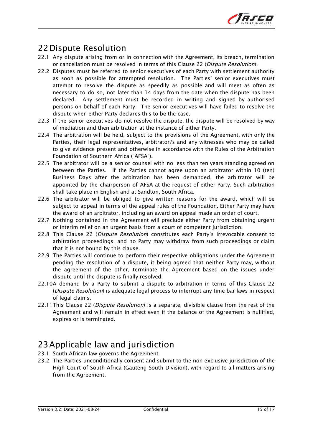

# 22Dispute Resolution

- 22.1 Any dispute arising from or in connection with the Agreement, its breach, termination or cancellation must be resolved in terms of this Clause 22 (Dispute Resolution).
- 22.2 Disputes must be referred to senior executives of each Party with settlement authority as soon as possible for attempted resolution. The Parties' senior executives must attempt to resolve the dispute as speedily as possible and will meet as often as necessary to do so, not later than 14 days from the date when the dispute has been declared. Any settlement must be recorded in writing and signed by authorised persons on behalf of each Party. The senior executives will have failed to resolve the dispute when either Party declares this to be the case.
- 22.3 If the senior executives do not resolve the dispute, the dispute will be resolved by way of mediation and then arbitration at the instance of either Party.
- 22.4 The arbitration will be held, subject to the provisions of the Agreement, with only the Parties, their legal representatives, arbitrator/s and any witnesses who may be called to give evidence present and otherwise in accordance with the Rules of the Arbitration Foundation of Southern Africa ("AFSA").
- 22.5 The arbitrator will be a senior counsel with no less than ten years standing agreed on between the Parties. If the Parties cannot agree upon an arbitrator within 10 (ten) Business Days after the arbitration has been demanded, the arbitrator will be appointed by the chairperson of AFSA at the request of either Party. Such arbitration shall take place in English and at Sandton, South Africa.
- 22.6 The arbitrator will be obliged to give written reasons for the award, which will be subject to appeal in terms of the appeal rules of the Foundation. Either Party may have the award of an arbitrator, including an award on appeal made an order of court.
- 22.7 Nothing contained in the Agreement will preclude either Party from obtaining urgent or interim relief on an urgent basis from a court of competent jurisdiction.
- 22.8 This Clause 22 (Dispute Resolution) constitutes each Party's irrevocable consent to arbitration proceedings, and no Party may withdraw from such proceedings or claim that it is not bound by this clause.
- 22.9 The Parties will continue to perform their respective obligations under the Agreement pending the resolution of a dispute, it being agreed that neither Party may, without the agreement of the other, terminate the Agreement based on the issues under dispute until the dispute is finally resolved.
- 22.10A demand by a Party to submit a dispute to arbitration in terms of this Clause 22 (Dispute Resolution) is adequate legal process to interrupt any time bar laws in respect of legal claims.
- 22.11This Clause 22 (Dispute Resolution) is a separate, divisible clause from the rest of the Agreement and will remain in effect even if the balance of the Agreement is nullified, expires or is terminated.

# 23Applicable law and jurisdiction

- 23.1 South African law governs the Agreement.
- 23.2 The Parties unconditionally consent and submit to the non-exclusive jurisdiction of the High Court of South Africa (Gauteng South Division), with regard to all matters arising from the Agreement.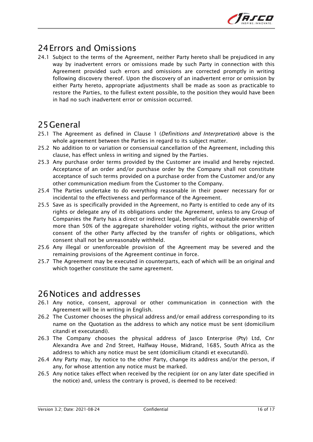

# 24Errors and Omissions

24.1 Subject to the terms of the Agreement, neither Party hereto shall be prejudiced in any way by inadvertent errors or omissions made by such Party in connection with this Agreement provided such errors and omissions are corrected promptly in writing following discovery thereof. Upon the discovery of an inadvertent error or omission by either Party hereto, appropriate adjustments shall be made as soon as practicable to restore the Parties, to the fullest extent possible, to the position they would have been in had no such inadvertent error or omission occurred.

## 25General

- 25.1 The Agreement as defined in Clause 1 (*Definitions and Interpretation*) above is the whole agreement between the Parties in regard to its subject matter.
- 25.2 No addition to or variation or consensual cancellation of the Agreement, including this clause, has effect unless in writing and signed by the Parties.
- 25.3 Any purchase order terms provided by the Customer are invalid and hereby rejected. Acceptance of an order and/or purchase order by the Company shall not constitute acceptance of such terms provided on a purchase order from the Customer and/or any other communication medium from the Customer to the Company.
- 25.4 The Parties undertake to do everything reasonable in their power necessary for or incidental to the effectiveness and performance of the Agreement.
- 25.5 Save as is specifically provided in the Agreement, no Party is entitled to cede any of its rights or delegate any of its obligations under the Agreement, unless to any Group of Companies the Party has a direct or indirect legal, beneficial or equitable ownership of more than 50% of the aggregate shareholder voting rights, without the prior written consent of the other Party affected by the transfer of rights or obligations, which consent shall not be unreasonably withheld.
- 25.6 Any illegal or unenforceable provision of the Agreement may be severed and the remaining provisions of the Agreement continue in force.
- 25.7 The Agreement may be executed in counterparts, each of which will be an original and which together constitute the same agreement.

#### 26Notices and addresses

- 26.1 Any notice, consent, approval or other communication in connection with the Agreement will be in writing in English.
- 26.2 The Customer chooses the physical address and/or email address corresponding to its name on the Quotation as the address to which any notice must be sent (domicilium citandi et executandi).
- 26.3 The Company chooses the physical address of Jasco Enterprise (Pty) Ltd, Cnr Alexandra Ave and 2nd Street, Halfway House, Midrand, 1685, South Africa as the address to which any notice must be sent (domicilium citandi et executandi).
- 26.4 Any Party may, by notice to the other Party, change its address and/or the person, if any, for whose attention any notice must be marked.
- 26.5 Any notice takes effect when received by the recipient (or on any later date specified in the notice) and, unless the contrary is proved, is deemed to be received: